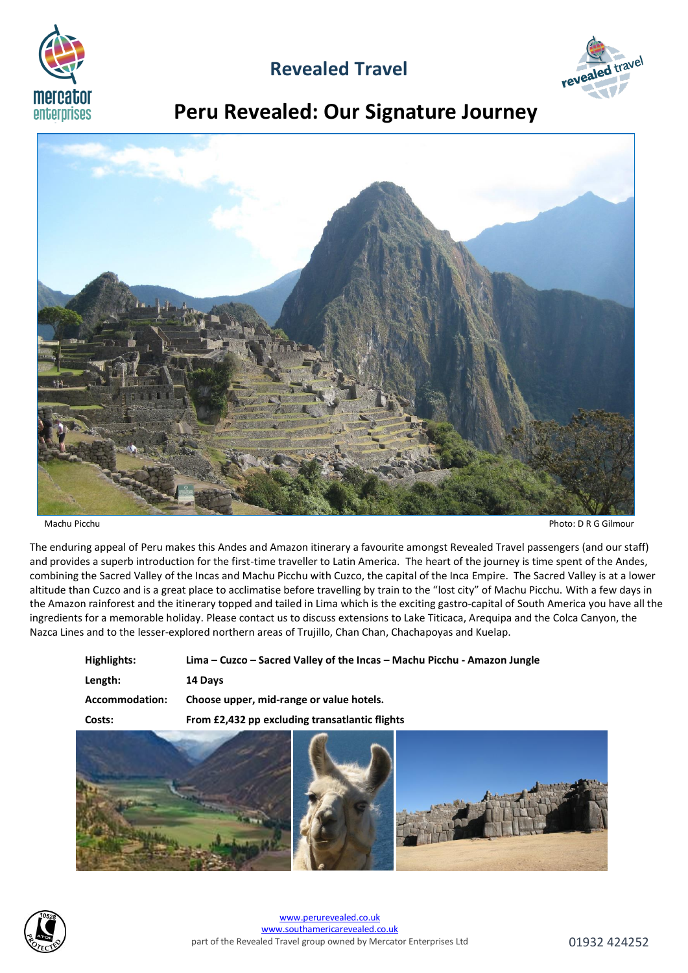

## **Revealed Travel**



# **Peru Revealed: Our Signature Journey**



Machu Picchu Photo: D R G Gilmour

The enduring appeal of Peru makes this Andes and Amazon itinerary a favourite amongst Revealed Travel passengers (and our staff) and provides a superb introduction for the first-time traveller to Latin America. The heart of the journey is time spent of the Andes, combining the Sacred Valley of the Incas and Machu Picchu with Cuzco, the capital of the Inca Empire. The Sacred Valley is at a lower altitude than Cuzco and is a great place to acclimatise before travelling by train to the "lost city" of Machu Picchu. With a few days in the Amazon rainforest and the itinerary topped and tailed in Lima which is the exciting gastro-capital of South America you have all the ingredients for a memorable holiday. Please contact us to discuss extensions to Lake Titicaca, Arequipa and the Colca Canyon, the Nazca Lines and to the lesser-explored northern areas of Trujillo, Chan Chan, Chachapoyas and Kuelap.

| Highlights:    | Lima – Cuzco – Sacred Valley of the Incas – Machu Picchu - Amazon Jungle |
|----------------|--------------------------------------------------------------------------|
| Length:        | 14 Days                                                                  |
| Accommodation: | Choose upper, mid-range or value hotels.                                 |
| Costs:         | From £2,432 pp excluding transatlantic flights                           |



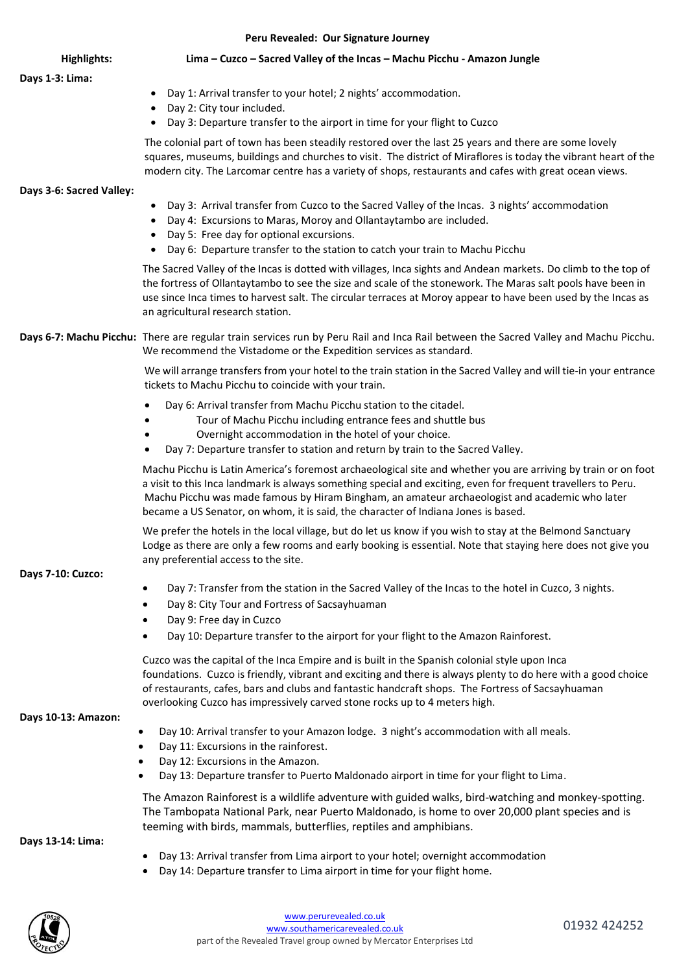| Peru Revealed: Our Signature Journey |                                                                                                                                                                                                                                                                                                                                                                                                                        |  |  |  |  |
|--------------------------------------|------------------------------------------------------------------------------------------------------------------------------------------------------------------------------------------------------------------------------------------------------------------------------------------------------------------------------------------------------------------------------------------------------------------------|--|--|--|--|
| <b>Highlights:</b>                   | Lima - Cuzco - Sacred Valley of the Incas - Machu Picchu - Amazon Jungle                                                                                                                                                                                                                                                                                                                                               |  |  |  |  |
| Days 1-3: Lima:                      | Day 1: Arrival transfer to your hotel; 2 nights' accommodation.<br>$\bullet$<br>Day 2: City tour included.<br>$\bullet$<br>Day 3: Departure transfer to the airport in time for your flight to Cuzco                                                                                                                                                                                                                   |  |  |  |  |
|                                      | The colonial part of town has been steadily restored over the last 25 years and there are some lovely<br>squares, museums, buildings and churches to visit. The district of Miraflores is today the vibrant heart of the<br>modern city. The Larcomar centre has a variety of shops, restaurants and cafes with great ocean views.                                                                                     |  |  |  |  |
| Days 3-6: Sacred Valley:             | Day 3: Arrival transfer from Cuzco to the Sacred Valley of the Incas. 3 nights' accommodation<br>$\bullet$<br>Day 4: Excursions to Maras, Moroy and Ollantaytambo are included.<br>$\bullet$<br>Day 5: Free day for optional excursions.<br>Day 6: Departure transfer to the station to catch your train to Machu Picchu                                                                                               |  |  |  |  |
|                                      | The Sacred Valley of the Incas is dotted with villages, Inca sights and Andean markets. Do climb to the top of<br>the fortress of Ollantaytambo to see the size and scale of the stonework. The Maras salt pools have been in<br>use since Inca times to harvest salt. The circular terraces at Moroy appear to have been used by the Incas as<br>an agricultural research station.                                    |  |  |  |  |
|                                      | Days 6-7: Machu Picchu: There are regular train services run by Peru Rail and Inca Rail between the Sacred Valley and Machu Picchu.<br>We recommend the Vistadome or the Expedition services as standard.                                                                                                                                                                                                              |  |  |  |  |
|                                      | We will arrange transfers from your hotel to the train station in the Sacred Valley and will tie-in your entrance<br>tickets to Machu Picchu to coincide with your train.                                                                                                                                                                                                                                              |  |  |  |  |
|                                      | Day 6: Arrival transfer from Machu Picchu station to the citadel.<br>Tour of Machu Picchu including entrance fees and shuttle bus<br>Overnight accommodation in the hotel of your choice.<br>Day 7: Departure transfer to station and return by train to the Sacred Valley.                                                                                                                                            |  |  |  |  |
|                                      | Machu Picchu is Latin America's foremost archaeological site and whether you are arriving by train or on foot<br>a visit to this Inca landmark is always something special and exciting, even for frequent travellers to Peru.<br>Machu Picchu was made famous by Hiram Bingham, an amateur archaeologist and academic who later<br>became a US Senator, on whom, it is said, the character of Indiana Jones is based. |  |  |  |  |
| Days 7-10: Cuzco:                    | We prefer the hotels in the local village, but do let us know if you wish to stay at the Belmond Sanctuary<br>Lodge as there are only a few rooms and early booking is essential. Note that staying here does not give you<br>any preferential access to the site.                                                                                                                                                     |  |  |  |  |

- Day 7: Transfer from the station in the Sacred Valley of the Incas to the hotel in Cuzco, 3 nights.
- Day 8: City Tour and Fortress of Sacsayhuaman
- Day 9: Free day in Cuzco
- Day 10: Departure transfer to the airport for your flight to the Amazon Rainforest.

Cuzco was the capital of the Inca Empire and is built in the Spanish colonial style upon Inca foundations. Cuzco is friendly, vibrant and exciting and there is always plenty to do here with a good choice of restaurants, cafes, bars and clubs and fantastic handcraft shops. The Fortress of Sacsayhuaman overlooking Cuzco has impressively carved stone rocks up to 4 meters high.

## **Days 10-13: Amazon:**

- Day 10: Arrival transfer to your Amazon lodge. 3 night's accommodation with all meals.
- Day 11: Excursions in the rainforest.
- Day 12: Excursions in the Amazon.
- Day 13: Departure transfer to Puerto Maldonado airport in time for your flight to Lima.

The Amazon Rainforest is a wildlife adventure with guided walks, bird-watching and monkey-spotting. The Tambopata National Park, near Puerto Maldonado, is home to over 20,000 plant species and is teeming with birds, mammals, butterflies, reptiles and amphibians.

## **Days 13-14: Lima:**

- Day 13: Arrival transfer from Lima airport to your hotel; overnight accommodation
- Day 14: Departure transfer to Lima airport in time for your flight home.